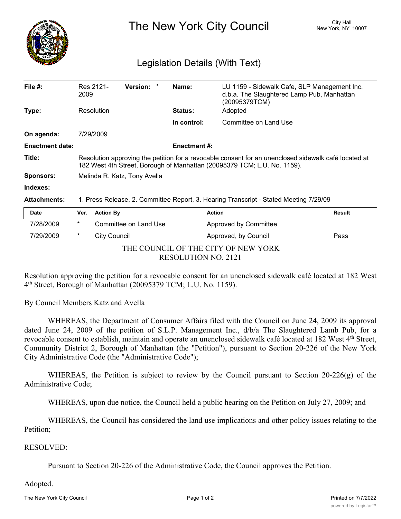

The New York City Council New York, NY 10007

## Legislation Details (With Text)

| File $#$ :             | 2009                                                                                                                                                                             | Res 2121-           | Version: *            |  | Name:          | LU 1159 - Sidewalk Cafe, SLP Management Inc.<br>d.b.a. The Slaughtered Lamp Pub, Manhattan<br>(20095379TCM) |               |
|------------------------|----------------------------------------------------------------------------------------------------------------------------------------------------------------------------------|---------------------|-----------------------|--|----------------|-------------------------------------------------------------------------------------------------------------|---------------|
| Type:                  |                                                                                                                                                                                  | Resolution          |                       |  | <b>Status:</b> | Adopted                                                                                                     |               |
|                        |                                                                                                                                                                                  |                     |                       |  | In control:    | Committee on Land Use                                                                                       |               |
| On agenda:             |                                                                                                                                                                                  | 7/29/2009           |                       |  |                |                                                                                                             |               |
| <b>Enactment date:</b> | <b>Enactment #:</b>                                                                                                                                                              |                     |                       |  |                |                                                                                                             |               |
| Title:                 | Resolution approving the petition for a revocable consent for an unenclosed sidewalk café located at<br>182 West 4th Street, Borough of Manhattan (20095379 TCM; L.U. No. 1159). |                     |                       |  |                |                                                                                                             |               |
| <b>Sponsors:</b>       | Melinda R. Katz, Tony Avella                                                                                                                                                     |                     |                       |  |                |                                                                                                             |               |
| Indexes:               |                                                                                                                                                                                  |                     |                       |  |                |                                                                                                             |               |
| <b>Attachments:</b>    | 1. Press Release, 2. Committee Report, 3. Hearing Transcript - Stated Meeting 7/29/09                                                                                            |                     |                       |  |                |                                                                                                             |               |
| <b>Date</b>            | Ver.                                                                                                                                                                             | <b>Action By</b>    |                       |  |                | <b>Action</b>                                                                                               | <b>Result</b> |
| 7/28/2009              | $\ast$                                                                                                                                                                           |                     | Committee on Land Use |  |                | Approved by Committee                                                                                       |               |
| 7/29/2009              | $\ast$                                                                                                                                                                           | <b>City Council</b> |                       |  |                | Approved, by Council                                                                                        | Pass          |

THE COUNCIL OF THE CITY OF NEW YORK RESOLUTION NO. 2121

Resolution approving the petition for a revocable consent for an unenclosed sidewalk café located at 182 West 4th Street, Borough of Manhattan (20095379 TCM; L.U. No. 1159).

By Council Members Katz and Avella

WHEREAS, the Department of Consumer Affairs filed with the Council on June 24, 2009 its approval dated June 24, 2009 of the petition of S.L.P. Management Inc.,  $d/b/a$  The Slaughtered Lamb Pub, for a revocable consent to establish, maintain and operate an unenclosed sidewalk café located at 182 West 4<sup>th</sup> Street, Community District 2, Borough of Manhattan (the "Petition"), pursuant to Section 20-226 of the New York City Administrative Code (the "Administrative Code");

WHEREAS, the Petition is subject to review by the Council pursuant to Section 20-226(g) of the Administrative Code;

WHEREAS, upon due notice, the Council held a public hearing on the Petition on July 27, 2009; and

WHEREAS, the Council has considered the land use implications and other policy issues relating to the Petition;

## RESOLVED:

Pursuant to Section 20-226 of the Administrative Code, the Council approves the Petition.